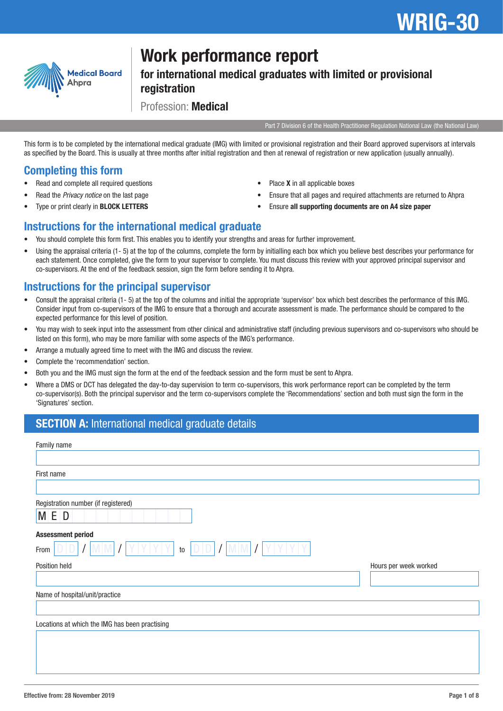

# Work performance report

for international medical graduates with limited or provisional registration

Profession: Medical

Part 7 Division 6 of the Health Practitioner Regulation National Law (the National Law)

This form is to be completed by the international medical graduate (IMG) with limited or provisional registration and their Board approved supervisors at intervals as specified by the Board. This is usually at three months after initial registration and then at renewal of registration or new application (usually annually).

## Completing this form

- Read and complete all required questions
- Read the *Privacy notice* on the last page
- Type or print clearly in **BLOCK LETTERS**
- Place **X** in all applicable boxes
- Ensure that all pages and required attachments are returned to Ahpra
- Ensure all supporting documents are on A4 size paper

### Instructions for the international medical graduate

- You should complete this form first. This enables you to identify your strengths and areas for further improvement.
- Using the appraisal criteria (1- 5) at the top of the columns, complete the form by initialling each box which you believe best describes your performance for each statement. Once completed, give the form to your supervisor to complete. You must discuss this review with your approved principal supervisor and co-supervisors. At the end of the feedback session, sign the form before sending it to Ahpra.

### Instructions for the principal supervisor

- Consult the appraisal criteria (1- 5) at the top of the columns and initial the appropriate 'supervisor' box which best describes the performance of this IMG. Consider input from co-supervisors of the IMG to ensure that a thorough and accurate assessment is made. The performance should be compared to the expected performance for this level of position.
- You may wish to seek input into the assessment from other clinical and administrative staff (including previous supervisors and co-supervisors who should be listed on this form), who may be more familiar with some aspects of the IMG's performance.
- Arrange a mutually agreed time to meet with the IMG and discuss the review.
- Complete the 'recommendation' section.
- Both you and the IMG must sign the form at the end of the feedback session and the form must be sent to Ahpra.
- Where a DMS or DCT has delegated the day-to-day supervision to term co-supervisors, this work performance report can be completed by the term co-supervisor(s). Both the principal supervisor and the term co-supervisors complete the 'Recommendations' section and both must sign the form in the 'Signatures' section.

### SECTION A: International medical graduate details

| Family name                                    |                       |
|------------------------------------------------|-----------------------|
|                                                |                       |
| First name                                     |                       |
|                                                |                       |
| Registration number (if registered)            |                       |
| MED                                            |                       |
| <b>Assessment period</b>                       |                       |
| DII<br>to<br>From                              |                       |
| Position held                                  | Hours per week worked |
|                                                |                       |
| Name of hospital/unit/practice                 |                       |
|                                                |                       |
| Locations at which the IMG has been practising |                       |
|                                                |                       |
|                                                |                       |
|                                                |                       |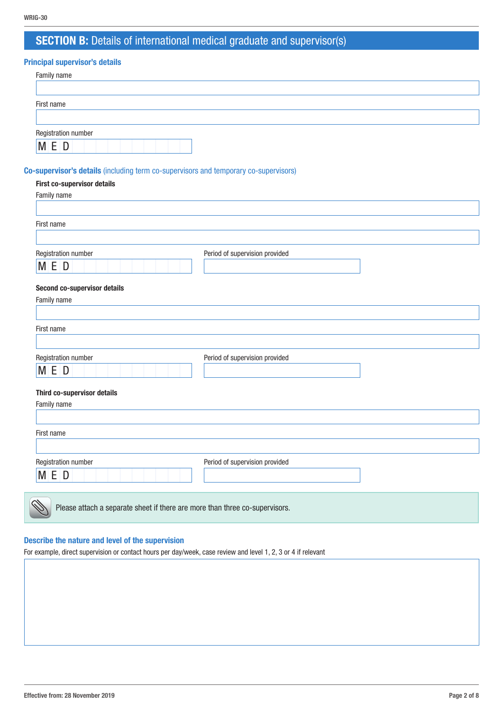# SECTION B: Details of international medical graduate and supervisor(s)

### Principal supervisor's details

| Family name                  |  |  |
|------------------------------|--|--|
|                              |  |  |
| First name                   |  |  |
|                              |  |  |
|                              |  |  |
| Registration number<br>M E D |  |  |

#### Co-supervisor's details (including term co-supervisors and temporary co-supervisors)

#### First co-supervisor details

| Family name                                                                 |                                |
|-----------------------------------------------------------------------------|--------------------------------|
|                                                                             |                                |
| First name                                                                  |                                |
|                                                                             |                                |
| Registration number                                                         | Period of supervision provided |
| M E D                                                                       |                                |
| Second co-supervisor details                                                |                                |
| Family name                                                                 |                                |
| First name                                                                  |                                |
|                                                                             |                                |
| Registration number                                                         | Period of supervision provided |
| M E D                                                                       |                                |
| Third co-supervisor details                                                 |                                |
| Family name                                                                 |                                |
|                                                                             |                                |
| First name                                                                  |                                |
| Registration number                                                         | Period of supervision provided |
| M E D                                                                       |                                |
| Please attach a separate sheet if there are more than three co-supervisors. |                                |

#### Describe the nature and level of the supervision

For example, direct supervision or contact hours per day/week, case review and level 1, 2, 3 or 4 if relevant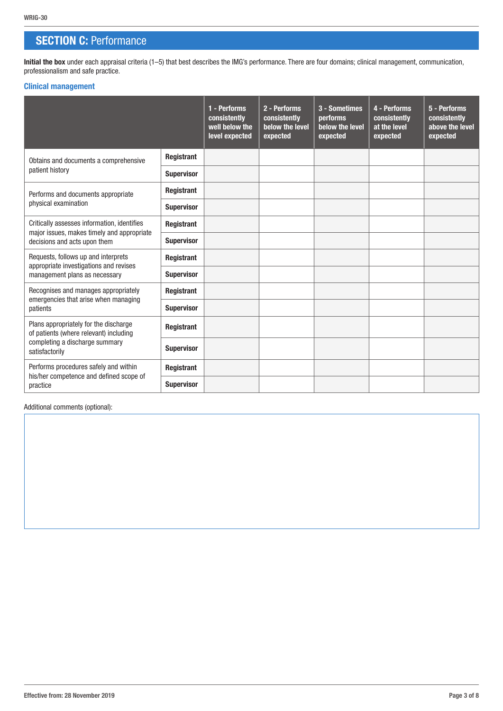### **SECTION C: Performance**

Initial the box under each appraisal criteria (1-5) that best describes the IMG's performance. There are four domains; clinical management, communication, professionalism and safe practice.

#### Clinical management

|                                                                                                                                     |                   | 1 - Performs<br>consistently<br>well below the<br>level expected | 2 - Performs<br>consistently<br>below the level<br>expected | 3 - Sometimes<br>performs<br>below the level<br>expected | 4 - Performs<br>consistently<br>at the level<br>expected | 5 - Performs<br>consistently<br>above the level<br>expected |
|-------------------------------------------------------------------------------------------------------------------------------------|-------------------|------------------------------------------------------------------|-------------------------------------------------------------|----------------------------------------------------------|----------------------------------------------------------|-------------------------------------------------------------|
| Obtains and documents a comprehensive                                                                                               | Registrant        |                                                                  |                                                             |                                                          |                                                          |                                                             |
| patient history                                                                                                                     | <b>Supervisor</b> |                                                                  |                                                             |                                                          |                                                          |                                                             |
| Performs and documents appropriate                                                                                                  | Registrant        |                                                                  |                                                             |                                                          |                                                          |                                                             |
| physical examination                                                                                                                | <b>Supervisor</b> |                                                                  |                                                             |                                                          |                                                          |                                                             |
| Critically assesses information, identifies<br>major issues, makes timely and appropriate                                           | Registrant        |                                                                  |                                                             |                                                          |                                                          |                                                             |
| decisions and acts upon them                                                                                                        | <b>Supervisor</b> |                                                                  |                                                             |                                                          |                                                          |                                                             |
| Requests, follows up and interprets<br>appropriate investigations and revises                                                       | Registrant        |                                                                  |                                                             |                                                          |                                                          |                                                             |
| management plans as necessary                                                                                                       | <b>Supervisor</b> |                                                                  |                                                             |                                                          |                                                          |                                                             |
| Recognises and manages appropriately                                                                                                | Registrant        |                                                                  |                                                             |                                                          |                                                          |                                                             |
| emergencies that arise when managing<br>patients                                                                                    | <b>Supervisor</b> |                                                                  |                                                             |                                                          |                                                          |                                                             |
| Plans appropriately for the discharge<br>of patients (where relevant) including<br>completing a discharge summary<br>satisfactorily | <b>Registrant</b> |                                                                  |                                                             |                                                          |                                                          |                                                             |
|                                                                                                                                     | <b>Supervisor</b> |                                                                  |                                                             |                                                          |                                                          |                                                             |
| Performs procedures safely and within                                                                                               | Registrant        |                                                                  |                                                             |                                                          |                                                          |                                                             |
| his/her competence and defined scope of<br>practice                                                                                 | <b>Supervisor</b> |                                                                  |                                                             |                                                          |                                                          |                                                             |

Additional comments (optional):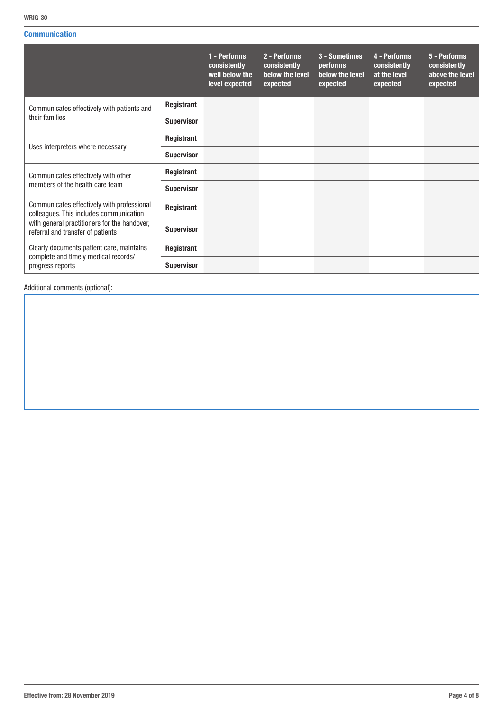#### **Communication**

|                                                                                       |                   | 1 - Performs<br>consistently<br>well below the<br>level expected | 2 - Performs<br>consistently<br>below the level<br>expected | 3 - Sometimes<br>performs<br>below the level<br>expected | 4 - Performs<br>consistently<br>at the level<br>expected | 5 - Performs<br>consistently<br>above the level<br>expected |
|---------------------------------------------------------------------------------------|-------------------|------------------------------------------------------------------|-------------------------------------------------------------|----------------------------------------------------------|----------------------------------------------------------|-------------------------------------------------------------|
| Communicates effectively with patients and                                            | Registrant        |                                                                  |                                                             |                                                          |                                                          |                                                             |
| their families                                                                        | <b>Supervisor</b> |                                                                  |                                                             |                                                          |                                                          |                                                             |
|                                                                                       | Registrant        |                                                                  |                                                             |                                                          |                                                          |                                                             |
| Uses interpreters where necessary                                                     | <b>Supervisor</b> |                                                                  |                                                             |                                                          |                                                          |                                                             |
| Communicates effectively with other                                                   | Registrant        |                                                                  |                                                             |                                                          |                                                          |                                                             |
| members of the health care team                                                       | <b>Supervisor</b> |                                                                  |                                                             |                                                          |                                                          |                                                             |
| Communicates effectively with professional<br>colleagues. This includes communication | Registrant        |                                                                  |                                                             |                                                          |                                                          |                                                             |
| with general practitioners for the handover,<br>referral and transfer of patients     | <b>Supervisor</b> |                                                                  |                                                             |                                                          |                                                          |                                                             |
| Clearly documents patient care, maintains                                             | Registrant        |                                                                  |                                                             |                                                          |                                                          |                                                             |
| complete and timely medical records/<br>progress reports                              | <b>Supervisor</b> |                                                                  |                                                             |                                                          |                                                          |                                                             |

Additional comments (optional):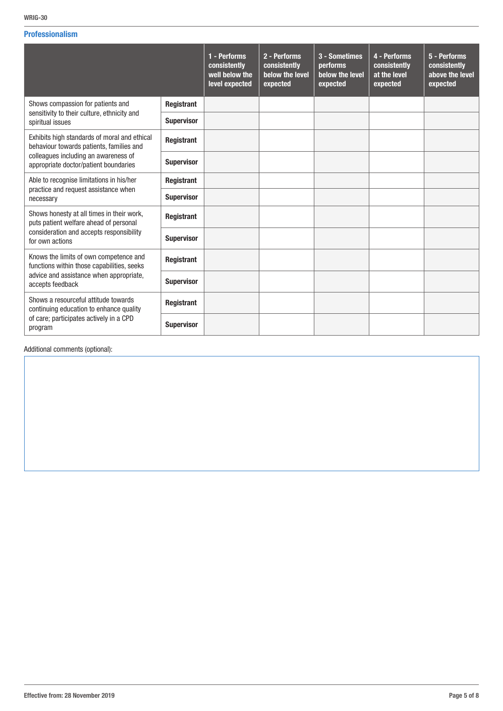#### Professionalism

|                                                                                          |                   | 1 - Performs<br>consistently<br>well below the<br>level expected | 2 - Performs<br>consistently<br>below the level<br>expected | 3 - Sometimes<br><b>performs</b><br>below the level<br>expected | 4 - Performs<br>consistently<br>at the level<br>expected | 5 - Performs<br>consistently<br>above the level<br>expected |
|------------------------------------------------------------------------------------------|-------------------|------------------------------------------------------------------|-------------------------------------------------------------|-----------------------------------------------------------------|----------------------------------------------------------|-------------------------------------------------------------|
| Shows compassion for patients and<br>sensitivity to their culture, ethnicity and         | Registrant        |                                                                  |                                                             |                                                                 |                                                          |                                                             |
| spiritual issues                                                                         | <b>Supervisor</b> |                                                                  |                                                             |                                                                 |                                                          |                                                             |
| Exhibits high standards of moral and ethical<br>behaviour towards patients, families and | Registrant        |                                                                  |                                                             |                                                                 |                                                          |                                                             |
| colleagues including an awareness of<br>appropriate doctor/patient boundaries            | <b>Supervisor</b> |                                                                  |                                                             |                                                                 |                                                          |                                                             |
| Able to recognise limitations in his/her                                                 | Registrant        |                                                                  |                                                             |                                                                 |                                                          |                                                             |
| practice and request assistance when<br>necessary                                        | <b>Supervisor</b> |                                                                  |                                                             |                                                                 |                                                          |                                                             |
| Shows honesty at all times in their work,<br>puts patient welfare ahead of personal      | Registrant        |                                                                  |                                                             |                                                                 |                                                          |                                                             |
| consideration and accepts responsibility<br>for own actions                              | <b>Supervisor</b> |                                                                  |                                                             |                                                                 |                                                          |                                                             |
| Knows the limits of own competence and<br>functions within those capabilities, seeks     | Registrant        |                                                                  |                                                             |                                                                 |                                                          |                                                             |
| advice and assistance when appropriate,<br>accepts feedback                              | <b>Supervisor</b> |                                                                  |                                                             |                                                                 |                                                          |                                                             |
| Shows a resourceful attitude towards<br>continuing education to enhance quality          | Registrant        |                                                                  |                                                             |                                                                 |                                                          |                                                             |
| of care; participates actively in a CPD<br>program                                       | <b>Supervisor</b> |                                                                  |                                                             |                                                                 |                                                          |                                                             |

Additional comments (optional):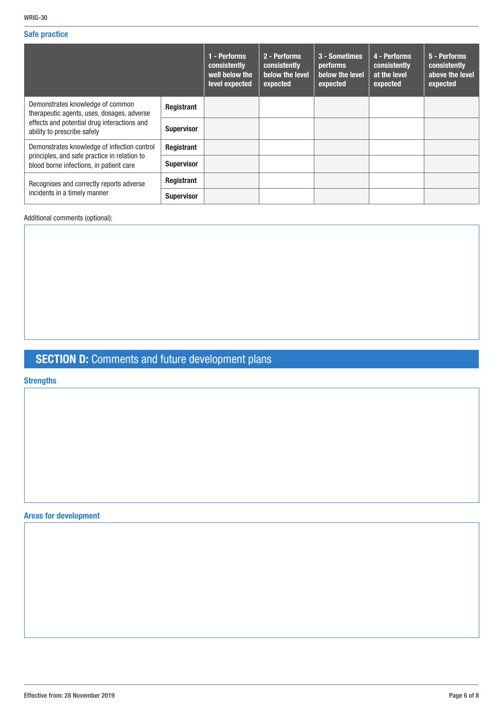#### Safe practice

|                                                                                                                                                              |                   | 1 - Performs<br>consistently<br>well below the<br>level expected | 2 - Performs<br>consistently<br>below the level<br>expected | 3 - Sometimes<br><b>performs</b><br>below the level<br>expected | 4 - Performs<br>consistently<br>at the level<br>expected | 5 - Performs<br>consistently<br>above the level<br>expected |
|--------------------------------------------------------------------------------------------------------------------------------------------------------------|-------------------|------------------------------------------------------------------|-------------------------------------------------------------|-----------------------------------------------------------------|----------------------------------------------------------|-------------------------------------------------------------|
| Demonstrates knowledge of common<br>therapeutic agents, uses, dosages, adverse<br>effects and potential drug interactions and<br>ability to prescribe safely | Registrant        |                                                                  |                                                             |                                                                 |                                                          |                                                             |
|                                                                                                                                                              | <b>Supervisor</b> |                                                                  |                                                             |                                                                 |                                                          |                                                             |
| Demonstrates knowledge of infection control                                                                                                                  | Registrant        |                                                                  |                                                             |                                                                 |                                                          |                                                             |
| principles, and safe practice in relation to<br>blood borne infections, in patient care                                                                      | <b>Supervisor</b> |                                                                  |                                                             |                                                                 |                                                          |                                                             |
| Recognises and correctly reports adverse<br>incidents in a timely manner                                                                                     | Registrant        |                                                                  |                                                             |                                                                 |                                                          |                                                             |
|                                                                                                                                                              | <b>Supervisor</b> |                                                                  |                                                             |                                                                 |                                                          |                                                             |

Additional comments (optional):

# **SECTION D:** Comments and future development plans

**Strengths** 

Areas for development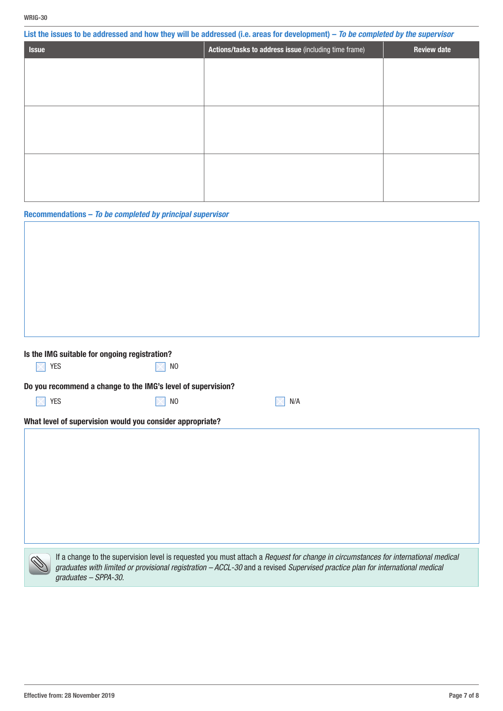| WRIG-30                                                      |                |                                                                                                                                 |                    |
|--------------------------------------------------------------|----------------|---------------------------------------------------------------------------------------------------------------------------------|--------------------|
|                                                              |                | List the issues to be addressed and how they will be addressed (i.e. areas for development) - To be completed by the supervisor |                    |
| <b>Issue</b>                                                 |                | Actions/tasks to address issue (including time frame)                                                                           | <b>Review date</b> |
|                                                              |                |                                                                                                                                 |                    |
|                                                              |                |                                                                                                                                 |                    |
|                                                              |                |                                                                                                                                 |                    |
|                                                              |                |                                                                                                                                 |                    |
|                                                              |                |                                                                                                                                 |                    |
|                                                              |                |                                                                                                                                 |                    |
|                                                              |                |                                                                                                                                 |                    |
|                                                              |                |                                                                                                                                 |                    |
|                                                              |                |                                                                                                                                 |                    |
|                                                              |                |                                                                                                                                 |                    |
| Recommendations - To be completed by principal supervisor    |                |                                                                                                                                 |                    |
|                                                              |                |                                                                                                                                 |                    |
|                                                              |                |                                                                                                                                 |                    |
|                                                              |                |                                                                                                                                 |                    |
|                                                              |                |                                                                                                                                 |                    |
|                                                              |                |                                                                                                                                 |                    |
|                                                              |                |                                                                                                                                 |                    |
|                                                              |                |                                                                                                                                 |                    |
|                                                              |                |                                                                                                                                 |                    |
| Is the IMG suitable for ongoing registration?                |                |                                                                                                                                 |                    |
| <b>YES</b>                                                   | N <sub>0</sub> |                                                                                                                                 |                    |
| Do you recommend a change to the IMG's level of supervision? |                |                                                                                                                                 |                    |
| YES                                                          | N <sub>0</sub> | N/A                                                                                                                             |                    |
| What level of supervision would you consider appropriate?    |                |                                                                                                                                 |                    |
|                                                              |                |                                                                                                                                 |                    |
|                                                              |                |                                                                                                                                 |                    |
|                                                              |                |                                                                                                                                 |                    |
|                                                              |                |                                                                                                                                 |                    |
|                                                              |                |                                                                                                                                 |                    |
|                                                              |                |                                                                                                                                 |                    |
|                                                              |                |                                                                                                                                 |                    |

If a change to the supervision level is requested you must attach a *Request for change in circumstances for international medical graduates with limited or provisional registration – ACCL-30* and a revised *Supervised practice plan for international medical graduates – SPPA-30*.